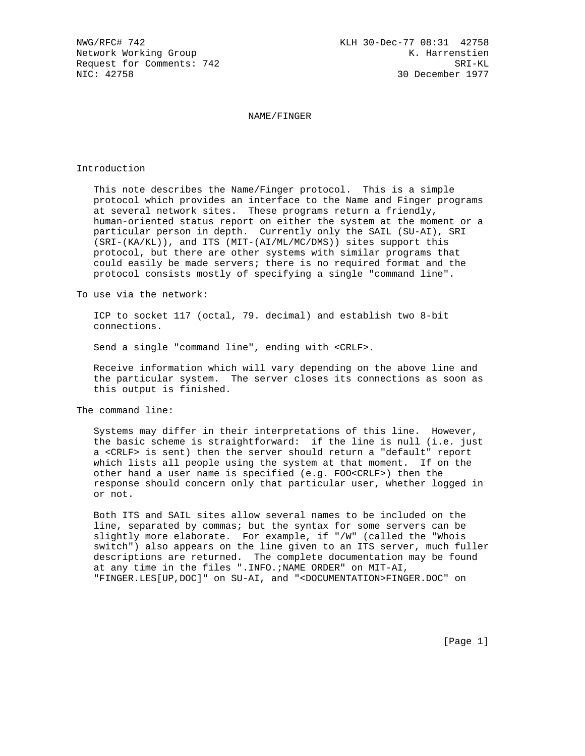NAME/FINGER

## Introduction

 This note describes the Name/Finger protocol. This is a simple protocol which provides an interface to the Name and Finger programs at several network sites. These programs return a friendly, human-oriented status report on either the system at the moment or a particular person in depth. Currently only the SAIL (SU-AI), SRI (SRI-(KA/KL)), and ITS (MIT-(AI/ML/MC/DMS)) sites support this protocol, but there are other systems with similar programs that could easily be made servers; there is no required format and the protocol consists mostly of specifying a single "command line".

To use via the network:

 ICP to socket 117 (octal, 79. decimal) and establish two 8-bit connections.

Send a single "command line", ending with <CRLF>.

 Receive information which will vary depending on the above line and the particular system. The server closes its connections as soon as this output is finished.

The command line:

 Systems may differ in their interpretations of this line. However, the basic scheme is straightforward: if the line is null (i.e. just a <CRLF> is sent) then the server should return a "default" report which lists all people using the system at that moment. If on the other hand a user name is specified (e.g. FOO<CRLF>) then the response should concern only that particular user, whether logged in or not.

 Both ITS and SAIL sites allow several names to be included on the line, separated by commas; but the syntax for some servers can be slightly more elaborate. For example, if "/W" (called the "Whois switch") also appears on the line given to an ITS server, much fuller descriptions are returned. The complete documentation may be found at any time in the files ".INFO.;NAME ORDER" on MIT-AI, "FINGER.LES[UP,DOC]" on SU-AI, and "<DOCUMENTATION>FINGER.DOC" on

[Page 1]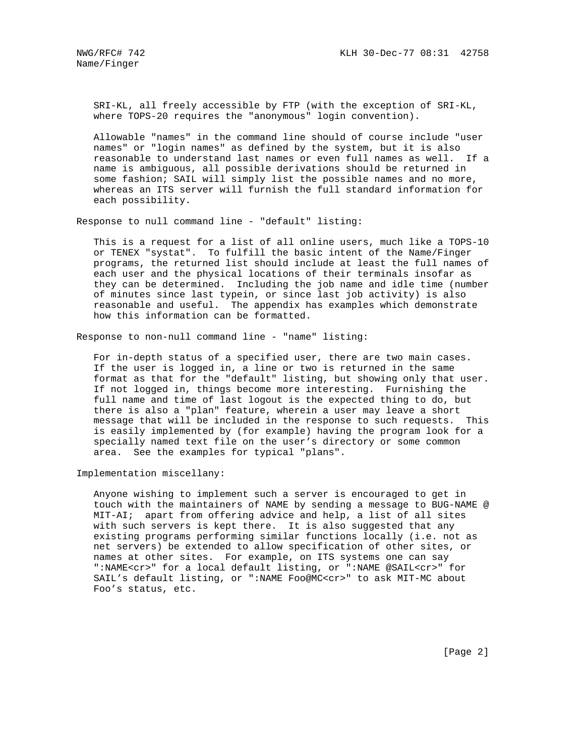SRI-KL, all freely accessible by FTP (with the exception of SRI-KL, where TOPS-20 requires the "anonymous" login convention).

 Allowable "names" in the command line should of course include "user names" or "login names" as defined by the system, but it is also reasonable to understand last names or even full names as well. If a name is ambiguous, all possible derivations should be returned in some fashion; SAIL will simply list the possible names and no more, whereas an ITS server will furnish the full standard information for each possibility.

Response to null command line - "default" listing:

 This is a request for a list of all online users, much like a TOPS-10 or TENEX "systat". To fulfill the basic intent of the Name/Finger programs, the returned list should include at least the full names of each user and the physical locations of their terminals insofar as they can be determined. Including the job name and idle time (number of minutes since last typein, or since last job activity) is also reasonable and useful. The appendix has examples which demonstrate how this information can be formatted.

Response to non-null command line - "name" listing:

 For in-depth status of a specified user, there are two main cases. If the user is logged in, a line or two is returned in the same format as that for the "default" listing, but showing only that user. If not logged in, things become more interesting. Furnishing the full name and time of last logout is the expected thing to do, but there is also a "plan" feature, wherein a user may leave a short message that will be included in the response to such requests. This is easily implemented by (for example) having the program look for a specially named text file on the user's directory or some common area. See the examples for typical "plans".

Implementation miscellany:

 Anyone wishing to implement such a server is encouraged to get in touch with the maintainers of NAME by sending a message to BUG-NAME @ MIT-AI; apart from offering advice and help, a list of all sites with such servers is kept there. It is also suggested that any existing programs performing similar functions locally (i.e. not as net servers) be extended to allow specification of other sites, or names at other sites. For example, on ITS systems one can say ":NAME<cr>" for a local default listing, or ":NAME @SAIL<cr>" for SAIL's default listing, or ":NAME Foo@MC<cr>" to ask MIT-MC about Foo's status, etc.

[Page 2]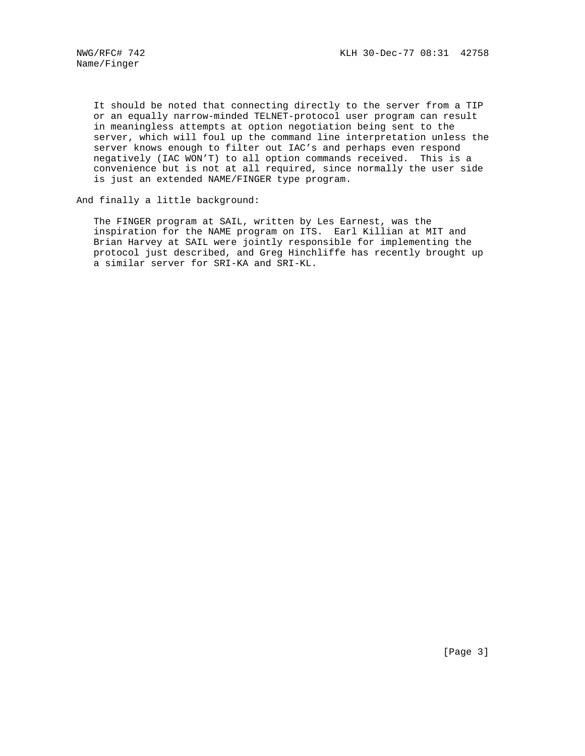It should be noted that connecting directly to the server from a TIP or an equally narrow-minded TELNET-protocol user program can result in meaningless attempts at option negotiation being sent to the server, which will foul up the command line interpretation unless the server knows enough to filter out IAC's and perhaps even respond negatively (IAC WON'T) to all option commands received. This is a convenience but is not at all required, since normally the user side is just an extended NAME/FINGER type program.

And finally a little background:

 The FINGER program at SAIL, written by Les Earnest, was the inspiration for the NAME program on ITS. Earl Killian at MIT and Brian Harvey at SAIL were jointly responsible for implementing the protocol just described, and Greg Hinchliffe has recently brought up a similar server for SRI-KA and SRI-KL.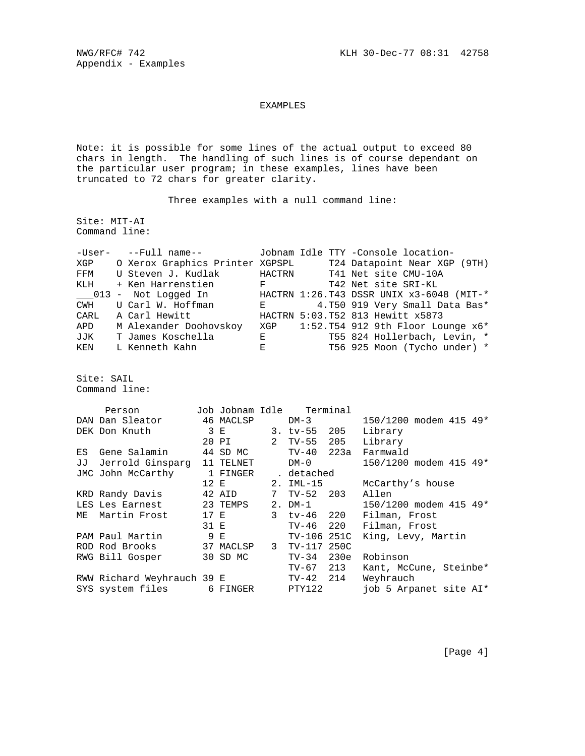## EXAMPLES

Note: it is possible for some lines of the actual output to exceed 80 chars in length. The handling of such lines is of course dependant on the particular user program; in these examples, lines have been truncated to 72 chars for greater clarity.

Three examples with a null command line:

Site: MIT-AI Command line:

|     | -User- --Full name--                               |                                          |  | Jobnam Idle TTY -Console location-                               |
|-----|----------------------------------------------------|------------------------------------------|--|------------------------------------------------------------------|
|     |                                                    |                                          |  | XGP 0 Xerox Graphics Printer XGPSPL 724 Datapoint Near XGP (9TH) |
|     | FFM U Steven J. Kudlak HACTRN T41 Net site CMU-10A |                                          |  |                                                                  |
|     | KLH + Ken Harrenstien                              | $\mathbf{F}$ and the set of $\mathbf{F}$ |  | T42 Net site SRI-KL                                              |
|     | 013 - Not Logged In                                |                                          |  | HACTRN 1:26.T43 DSSR UNIX x3-6048 (MIT-*                         |
|     | CWH U Carl W. Hoffman                              | $\mathbf{E}$ and the set of $\mathbf{E}$ |  | 4.T50 919 Very Small Data Bas*                                   |
|     | CARL A Carl Hewitt                                 |                                          |  | HACTRN 5:03.T52 813 Hewitt x5873                                 |
| APD | M Alexander Doohovskoy                             |                                          |  | XGP 1:52.T54 912 9th Floor Lounge x6*                            |
| JJK | T James Koschella                                  | $\bf{E}$ and $\bf{E}$ and $\bf{E}$       |  | T55 824 Hollerbach, Levin, *                                     |
| KEN | L Kenneth Kahn                                     | $\mathbf{E}$ and the set of $\mathbf{E}$ |  | T56 925 Moon (Tycho under) *                                     |

Site: SAIL Command line:

| Person |                               |      |                         | Job Jobnam Idle Terminal |  |                        |
|--------|-------------------------------|------|-------------------------|--------------------------|--|------------------------|
|        | DAN Dan Sleator 46 MACLSP     |      |                         | $DM-3$                   |  | 150/1200 modem 415 49* |
|        | DEK Don Knuth                 |      | 3 E                     | $3.$ tv-55 $205$         |  | Library                |
|        |                               |      | 20 PI 2 TV-55 205       |                          |  | Library                |
| ES     | Gene Salamin                  |      | 44 SD MC                | TV-40 223a               |  | Farmwald               |
|        | JJ Jerrold Ginsparg 11 TELNET |      |                         | DM-0                     |  | 150/1200 modem 415 49* |
|        | JMC John McCarthy 1 FINGER    |      |                         | detached .               |  |                        |
|        |                               | 12 E |                         | 2. IML-15                |  | McCarthy's house       |
|        | KRD Randy Davis               |      | 42 AID                  | 7 TV-52 203              |  | Allen                  |
|        |                               |      |                         | $2. DM-1$                |  | 150/1200 modem 415 49* |
|        | ME Martin Frost               |      | 17 E                    | 3 tv-46 220              |  | Filman, Frost          |
|        |                               |      | 31 E                    | TV-46 220                |  | Filman, Frost          |
|        | PAM Paul Martin               | 9 E  |                         | TV-106 251C              |  | King, Levy, Martin     |
|        | ROD Rod Brooks                |      | 37 MACLSP 3 TV-117 250C |                          |  |                        |
|        | RWG Bill Gosper               |      | 30 SD MC                | TV-34 230e               |  | Robinson               |
|        |                               |      |                         | TV-67 213                |  | Kant, McCune, Steinbe* |
|        | RWW Richard Weyhrauch 39 E    |      |                         | TV-42 214                |  | Weyhrauch              |
|        | SYS system files 6 FINGER     |      |                         | PTY122                   |  | job 5 Arpanet site AI* |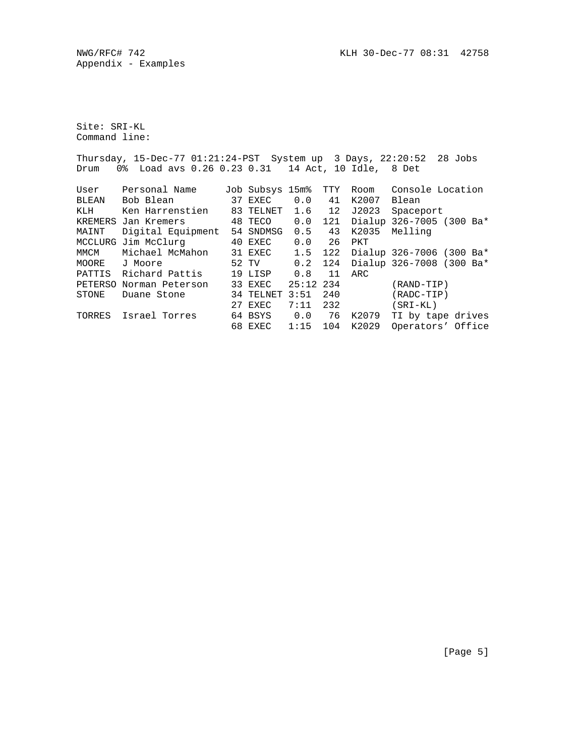Site: SRI-KL Command line:

Thursday, 15-Dec-77 01:21:24-PST System up 3 Days, 22:20:52 28 Jobs Drum 0% Load avs 0.26 0.23 0.31 14 Act, 10 Idle, 8 Det

| User   | Personal Name           |    | Job Subsys 15m% |             | TTY | Room  | Console Location         |
|--------|-------------------------|----|-----------------|-------------|-----|-------|--------------------------|
| BLEAN  | Bob Blean               |    | 37 EXEC         | 0.0         | 41  | K2007 | Blean                    |
| KLH    | Ken Harrenstien         | 83 | TELNET          | 1.6         | 12  | J2023 | Spaceport                |
|        | KREMERS Jan Kremers     |    | 48 TECO         | 0.0         | 121 |       | Dialup 326-7005 (300 Ba* |
| MAINT  | Digital Equipment       |    | 54 SNDMSG       | 0.5         | 43  | K2035 | Melling                  |
|        | MCCLURG Jim McClurg     |    | 40 EXEC         | 0.0         | 26  | PKT   |                          |
| MMCM   | Michael McMahon         |    | 31 EXEC         | 1.5         | 122 |       | Dialup 326-7006 (300 Ba* |
| MOORE  | J Moore                 |    | 52 TV           | 0.2         | 124 |       | Dialup 326-7008 (300 Ba* |
| PATTIS | Richard Pattis          |    | 19 LISP         | 0.8         | 11  | ARC   |                          |
|        | PETERSO Norman Peterson |    | 33 EXEC         | $25:12$ 234 |     |       | $(RAND-TIP)$             |
| STONE  | Duane Stone             |    | 34 TELNET 3:51  |             | 240 |       | $(RADC-TIP)$             |
|        |                         |    | 27 EXEC         | 7:11        | 232 |       | $(SRI-KL)$               |
| TORRES | Israel Torres           |    | 64 BSYS         | 0.0         | 76  | K2079 | TI by tape drives        |
|        |                         |    | 68 EXEC         | 1:15        | 104 | K2029 | Operators' Office        |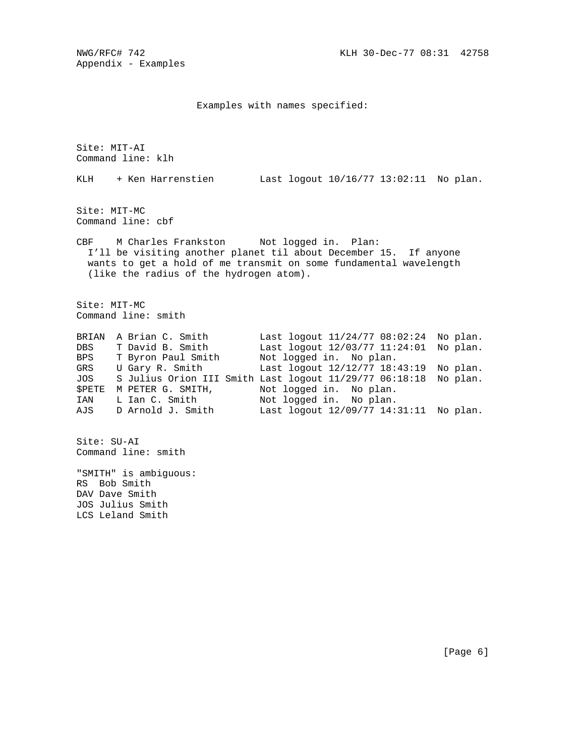## Examples with names specified:

Site: MIT-AI Command line: klh KLH + Ken Harrenstien Last logout 10/16/77 13:02:11 No plan. Site: MIT-MC Command line: cbf CBF M Charles Frankston Not logged in. Plan: I'll be visiting another planet til about December 15. If anyone wants to get a hold of me transmit on some fundamental wavelength (like the radius of the hydrogen atom). Site: MIT-MC Command line: smith BRIAN A Brian C. Smith Last logout 11/24/77 08:02:24 No plan. DBS T David B. Smith Last logout 12/03/77 11:24:01 No plan. BPS T Byron Paul Smith Not logged in. No plan. GRS U Gary R. Smith Last logout 12/12/77 18:43:19 No plan. JOS S Julius Orion III Smith Last logout 11/29/77 06:18:18 No plan. \$PETE M PETER G. SMITH, Not logged in. No plan. IAN L Ian C. Smith Not logged in. No plan. AJS D Arnold J. Smith Last logout 12/09/77 14:31:11 No plan. Site: SU-AI Command line: smith "SMITH" is ambiguous: RS Bob Smith DAV Dave Smith JOS Julius Smith LCS Leland Smith